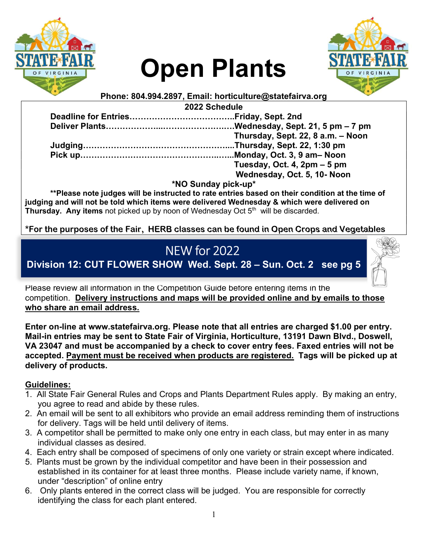

# Open Plants



Phone: 804.994.2897, Email: horticulture@statefairva.org

2022 Schedule

| Thursday, Sept. 22, 8 a.m. - Noon |
|-----------------------------------|
|                                   |
|                                   |
| Tuesday, Oct. 4, 2pm - 5 pm       |
| Wednesday, Oct. 5, 10- Noon       |

\*NO Sunday pick-up\*

\*\*Please note judges will be instructed to rate entries based on their condition at the time of judging and will not be told which items were delivered Wednesday & which were delivered on Thursday. Any items not picked up by noon of Wednesday Oct 5<sup>th</sup> will be discarded.

\*For the purposes of the Fair, HERB classes can be found in Open Crops and Vegetables

# NEW for 2022

Division 12: CUT FLOWER SHOW Wed. Sept. 28 – Sun. Oct. 2 see pg 5

Please review all information in the Competition Guide before entering items in the competition. Delivery instructions and maps will be provided online and by emails to those who share an email address.

Enter on-line at www.statefairva.org. Please note that all entries are charged \$1.00 per entry. Mail-in entries may be sent to State Fair of Virginia, Horticulture, 13191 Dawn Blvd., Doswell, VA 23047 and must be accompanied by a check to cover entry fees. Faxed entries will not be accepted. Payment must be received when products are registered. Tags will be picked up at delivery of products.

#### Guidelines:

- 1. All State Fair General Rules and Crops and Plants Department Rules apply. By making an entry, you agree to read and abide by these rules.
- 2. An email will be sent to all exhibitors who provide an email address reminding them of instructions for delivery. Tags will be held until delivery of items.
- 3. A competitor shall be permitted to make only one entry in each class, but may enter in as many individual classes as desired.
- 4. Each entry shall be composed of specimens of only one variety or strain except where indicated.
- 5. Plants must be grown by the individual competitor and have been in their possession and established in its container for at least three months. Please include variety name, if known, under "description" of online entry
- 6. Only plants entered in the correct class will be judged. You are responsible for correctly identifying the class for each plant entered.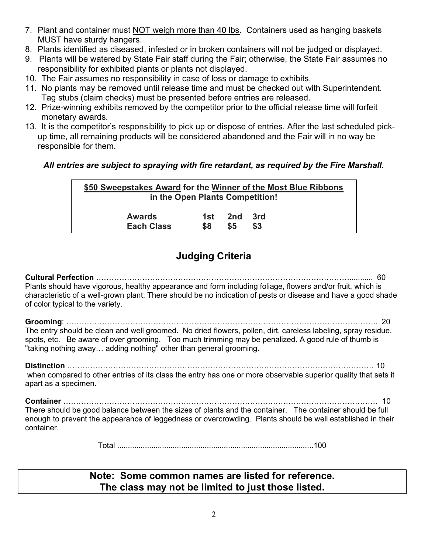- 7. Plant and container must NOT weigh more than 40 lbs. Containers used as hanging baskets MUST have sturdy hangers.
- 8. Plants identified as diseased, infested or in broken containers will not be judged or displayed.
- 9. Plants will be watered by State Fair staff during the Fair; otherwise, the State Fair assumes no responsibility for exhibited plants or plants not displayed.
- 10. The Fair assumes no responsibility in case of loss or damage to exhibits.
- 11. No plants may be removed until release time and must be checked out with Superintendent. Tag stubs (claim checks) must be presented before entries are released.
- 12. Prize-winning exhibits removed by the competitor prior to the official release time will forfeit monetary awards.
- 13. It is the competitor's responsibility to pick up or dispose of entries. After the last scheduled pickup time, all remaining products will be considered abandoned and the Fair will in no way be responsible for them.

#### All entries are subject to spraying with fire retardant, as required by the Fire Marshall.

| \$50 Sweepstakes Award for the Winner of the Most Blue Ribbons<br>in the Open Plants Competition! |      |     |       |  |
|---------------------------------------------------------------------------------------------------|------|-----|-------|--|
| <b>Awards</b>                                                                                     | 1st. | 2nd | - 3rd |  |
| <b>Each Class</b>                                                                                 | \$8  | \$5 | \$3   |  |

### Judging Criteria

Cultural Perfection ………………………………………………………………………………………........... 60 Plants should have vigorous, healthy appearance and form including foliage, flowers and/or fruit, which is characteristic of a well-grown plant. There should be no indication of pests or disease and have a good shade of color typical to the variety.

Grooming: ………………………………………………………………………………………………………….. 20 The entry should be clean and well groomed. No dried flowers, pollen, dirt, careless labeling, spray residue, spots, etc. Be aware of over grooming. Too much trimming may be penalized. A good rule of thumb is "taking nothing away… adding nothing" other than general grooming.

Distinction ………………………………………………………………………………………………………… 10

 when compared to other entries of its class the entry has one or more observable superior quality that sets it apart as a specimen.

Container …………………………………………………………………………………………………………… 10 There should be good balance between the sizes of plants and the container. The container should be full enough to prevent the appearance of leggedness or overcrowding. Plants should be well established in their container.

Total ............................................................................................100

#### Note: Some common names are listed for reference. The class may not be limited to just those listed.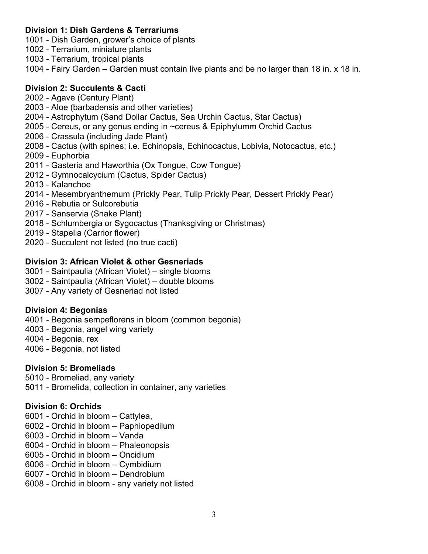#### Division 1: Dish Gardens & Terrariums

1001 - Dish Garden, grower's choice of plants

1002 - Terrarium, miniature plants

1003 - Terrarium, tropical plants

1004 - Fairy Garden – Garden must contain live plants and be no larger than 18 in. x 18 in.

#### Division 2: Succulents & Cacti

2002 - Agave (Century Plant)

- 2003 Aloe (barbadensis and other varieties)
- 2004 Astrophytum (Sand Dollar Cactus, Sea Urchin Cactus, Star Cactus)
- 2005 Cereus, or any genus ending in ~cereus & Epiphylumm Orchid Cactus
- 2006 Crassula (including Jade Plant)
- 2008 Cactus (with spines; i.e. Echinopsis, Echinocactus, Lobivia, Notocactus, etc.)
- 2009 Euphorbia
- 2011 Gasteria and Haworthia (Ox Tongue, Cow Tongue)
- 2012 Gymnocalcycium (Cactus, Spider Cactus)
- 2013 Kalanchoe
- 2014 Mesembryanthemum (Prickly Pear, Tulip Prickly Pear, Dessert Prickly Pear)
- 2016 Rebutia or Sulcorebutia
- 2017 Sanservia (Snake Plant)
- 2018 Schlumbergia or Sygocactus (Thanksgiving or Christmas)
- 2019 Stapelia (Carrior flower)
- 2020 Succulent not listed (no true cacti)

#### Division 3: African Violet & other Gesneriads

- 3001 Saintpaulia (African Violet) single blooms
- 3002 Saintpaulia (African Violet) double blooms
- 3007 Any variety of Gesneriad not listed

#### Division 4: Begonias

4001 - Begonia sempeflorens in bloom (common begonia)

- 4003 Begonia, angel wing variety
- 4004 Begonia, rex
- 4006 Begonia, not listed

#### Division 5: Bromeliads

5010 - Bromeliad, any variety

5011 - Bromelida, collection in container, any varieties

#### Division 6: Orchids

- 6001 Orchid in bloom Cattylea,
- 6002 Orchid in bloom Paphiopedilum
- 6003 Orchid in bloom Vanda
- 6004 Orchid in bloom Phaleonopsis
- 6005 Orchid in bloom Oncidium
- 6006 Orchid in bloom Cymbidium
- 6007 Orchid in bloom Dendrobium
- 6008 Orchid in bloom any variety not listed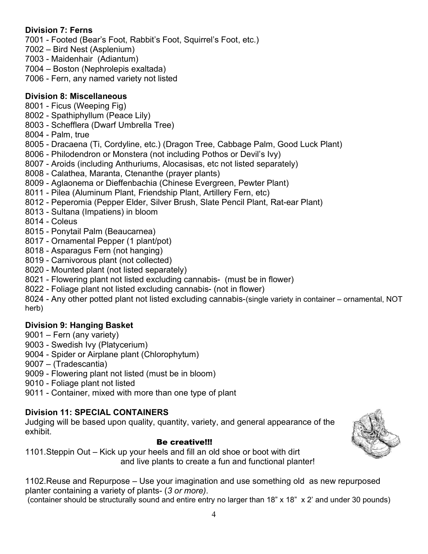#### Division 7: Ferns

7001 - Footed (Bear's Foot, Rabbit's Foot, Squirrel's Foot, etc.)

- 7002 Bird Nest (Asplenium)
- 7003 Maidenhair (Adiantum)
- 7004 Boston (Nephrolepis exaltada)
- 7006 Fern, any named variety not listed

#### Division 8: Miscellaneous

- 8001 Ficus (Weeping Fig)
- 8002 Spathiphyllum (Peace Lily)
- 8003 Schefflera (Dwarf Umbrella Tree)
- 8004 Palm, true
- 8005 Dracaena (Ti, Cordyline, etc.) (Dragon Tree, Cabbage Palm, Good Luck Plant)
- 8006 Philodendron or Monstera (not including Pothos or Devil's Ivy)
- 8007 Aroids (including Anthuriums, Alocasisas, etc not listed separately)
- 8008 Calathea, Maranta, Ctenanthe (prayer plants)
- 8009 Aglaonema or Dieffenbachia (Chinese Evergreen, Pewter Plant)
- 8011 Pilea (Aluminum Plant, Friendship Plant, Artillery Fern, etc)
- 8012 Peperomia (Pepper Elder, Silver Brush, Slate Pencil Plant, Rat-ear Plant)
- 8013 Sultana (Impatiens) in bloom
- 8014 Coleus
- 8015 Ponytail Palm (Beaucarnea)
- 8017 Ornamental Pepper (1 plant/pot)
- 8018 Asparagus Fern (not hanging)
- 8019 Carnivorous plant (not collected)
- 8020 Mounted plant (not listed separately)
- 8021 Flowering plant not listed excluding cannabis- (must be in flower)
- 8022 Foliage plant not listed excluding cannabis- (not in flower)

8024 - Any other potted plant not listed excluding cannabis-(single variety in container – ornamental, NOT herb)

#### Division 9: Hanging Basket

- 9001 Fern (any variety)
- 9003 Swedish Ivy (Platycerium)
- 9004 Spider or Airplane plant (Chlorophytum)
- 9007 (Tradescantia)
- 9009 Flowering plant not listed (must be in bloom)
- 9010 Foliage plant not listed
- 9011 Container, mixed with more than one type of plant

#### Division 11: SPECIAL CONTAINERS

Judging will be based upon quality, quantity, variety, and general appearance of the exhibit.

#### Be creative!!!

1101.Steppin Out – Kick up your heels and fill an old shoe or boot with dirt and live plants to create a fun and functional planter!

1102.Reuse and Repurpose – Use your imagination and use something old as new repurposed planter containing a variety of plants- (3 or more).

(container should be structurally sound and entire entry no larger than 18" x 18" x 2' and under 30 pounds)